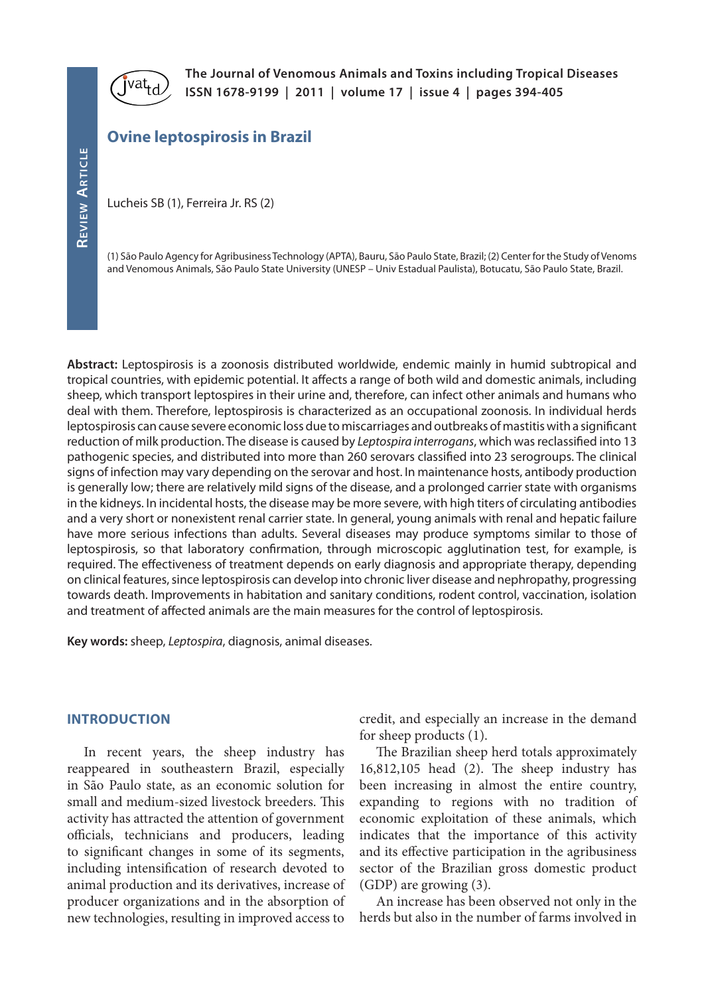

**The Journal of Venomous Animals and Toxins including Tropical Diseases ISSN 1678-9199 | 2011 | volume 17 | issue 4 | pages 394-405**

# **Ovine leptospirosis in Brazil**

Lucheis SB (1), Ferreira Jr. RS (2)

(1) São Paulo Agency for Agribusiness Technology (APTA), Bauru, São Paulo State, Brazil; (2) Center for the Study of Venoms and Venomous Animals, São Paulo State University (UNESP – Univ Estadual Paulista), Botucatu, São Paulo State, Brazil.

**Abstract:** Leptospirosis is a zoonosis distributed worldwide, endemic mainly in humid subtropical and tropical countries, with epidemic potential. It affects a range of both wild and domestic animals, including sheep, which transport leptospires in their urine and, therefore, can infect other animals and humans who deal with them. Therefore, leptospirosis is characterized as an occupational zoonosis. In individual herds leptospirosis can cause severe economic loss due to miscarriages and outbreaks of mastitis with a significant reduction of milk production. The disease is caused by *Leptospira interrogans*, which was reclassified into 13 pathogenic species, and distributed into more than 260 serovars classified into 23 serogroups. The clinical signs of infection may vary depending on the serovar and host. In maintenance hosts, antibody production is generally low; there are relatively mild signs of the disease, and a prolonged carrier state with organisms in the kidneys. In incidental hosts, the disease may be more severe, with high titers of circulating antibodies and a very short or nonexistent renal carrier state. In general, young animals with renal and hepatic failure have more serious infections than adults. Several diseases may produce symptoms similar to those of leptospirosis, so that laboratory confirmation, through microscopic agglutination test, for example, is required. The effectiveness of treatment depends on early diagnosis and appropriate therapy, depending on clinical features, since leptospirosis can develop into chronic liver disease and nephropathy, progressing towards death. Improvements in habitation and sanitary conditions, rodent control, vaccination, isolation and treatment of affected animals are the main measures for the control of leptospirosis.

**Key words:** sheep, *Leptospira*, diagnosis, animal diseases.

### **INTRODUCTION**

In recent years, the sheep industry has reappeared in southeastern Brazil, especially in São Paulo state, as an economic solution for small and medium-sized livestock breeders. This activity has attracted the attention of government officials, technicians and producers, leading to significant changes in some of its segments, including intensification of research devoted to animal production and its derivatives, increase of producer organizations and in the absorption of new technologies, resulting in improved access to

credit, and especially an increase in the demand for sheep products (1).

The Brazilian sheep herd totals approximately 16,812,105 head (2). The sheep industry has been increasing in almost the entire country, expanding to regions with no tradition of economic exploitation of these animals, which indicates that the importance of this activity and its effective participation in the agribusiness sector of the Brazilian gross domestic product (GDP) are growing (3).

An increase has been observed not only in the herds but also in the number of farms involved in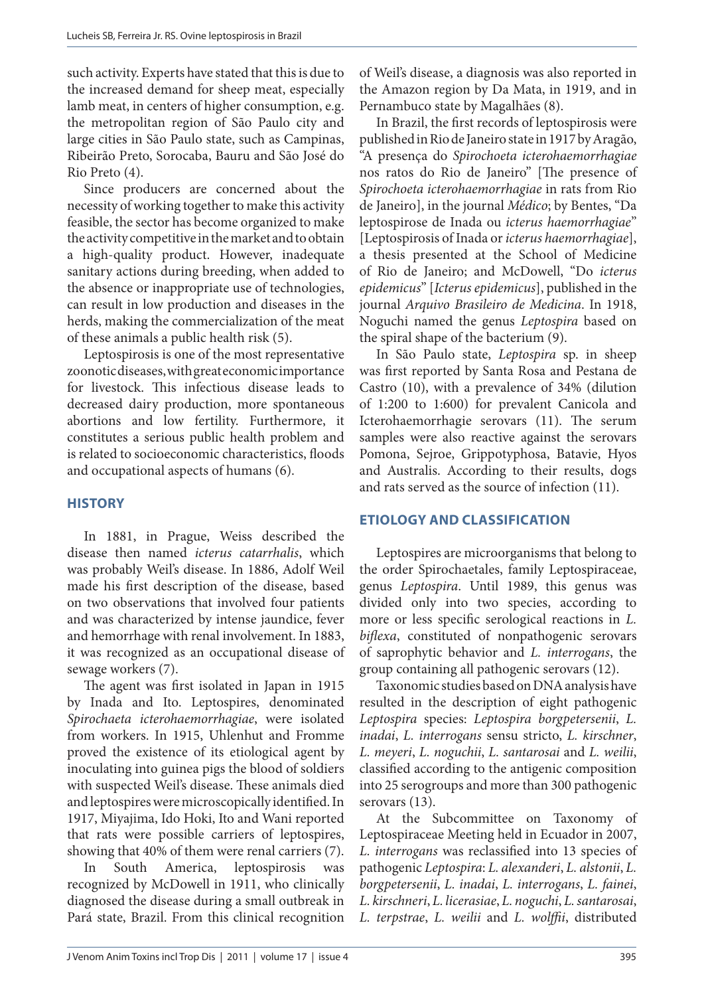such activity. Experts have stated that this is due to the increased demand for sheep meat, especially lamb meat, in centers of higher consumption, e.g. the metropolitan region of São Paulo city and large cities in São Paulo state, such as Campinas, Ribeirão Preto, Sorocaba, Bauru and São José do Rio Preto (4).

Since producers are concerned about the necessity of working together to make this activity feasible, the sector has become organized to make the activity competitive in the market and to obtain a high-quality product. However, inadequate sanitary actions during breeding, when added to the absence or inappropriate use of technologies, can result in low production and diseases in the herds, making the commercialization of the meat of these animals a public health risk (5).

Leptospirosis is one of the most representative zoonotic diseases, with great economic importance for livestock. This infectious disease leads to decreased dairy production, more spontaneous abortions and low fertility. Furthermore, it constitutes a serious public health problem and is related to socioeconomic characteristics, floods and occupational aspects of humans (6).

### **HISTORY**

In 1881, in Prague, Weiss described the disease then named *icterus catarrhalis*, which was probably Weil's disease. In 1886, Adolf Weil made his first description of the disease, based on two observations that involved four patients and was characterized by intense jaundice, fever and hemorrhage with renal involvement. In 1883, it was recognized as an occupational disease of sewage workers (7).

The agent was first isolated in Japan in 1915 by Inada and Ito. Leptospires, denominated *Spirochaeta icterohaemorrhagiae*, were isolated from workers. In 1915, Uhlenhut and Fromme proved the existence of its etiological agent by inoculating into guinea pigs the blood of soldiers with suspected Weil's disease. These animals died and leptospires were microscopically identified. In 1917, Miyajima, Ido Hoki, Ito and Wani reported that rats were possible carriers of leptospires, showing that 40% of them were renal carriers (7).

In South America, leptospirosis was recognized by McDowell in 1911, who clinically diagnosed the disease during a small outbreak in Pará state, Brazil. From this clinical recognition

of Weil's disease, a diagnosis was also reported in the Amazon region by Da Mata, in 1919, and in Pernambuco state by Magalhães (8).

In Brazil, the first records of leptospirosis were published in Rio de Janeiro state in 1917 by Aragão, "A presença do *Spirochoeta icterohaemorrhagiae* nos ratos do Rio de Janeiro" [The presence of *Spirochoeta icterohaemorrhagiae* in rats from Rio de Janeiro], in the journal *Médico*; by Bentes, "Da leptospirose de Inada ou *icterus haemorrhagiae*" [Leptospirosis of Inada or *icterus haemorrhagiae*], a thesis presented at the School of Medicine of Rio de Janeiro; and McDowell, "Do *icterus epidemicus*" [*Icterus epidemicus*], published in the journal *Arquivo Brasileiro de Medicina*. In 1918, Noguchi named the genus *Leptospira* based on the spiral shape of the bacterium (9).

In São Paulo state, *Leptospira* sp. in sheep was first reported by Santa Rosa and Pestana de Castro (10), with a prevalence of 34% (dilution of 1:200 to 1:600) for prevalent Canicola and Icterohaemorrhagie serovars (11). The serum samples were also reactive against the serovars Pomona, Sejroe, Grippotyphosa, Batavie, Hyos and Australis. According to their results, dogs and rats served as the source of infection (11).

### **ETIOLOGY AND CLASSIFICATION**

Leptospires are microorganisms that belong to the order Spirochaetales, family Leptospiraceae, genus *Leptospira*. Until 1989, this genus was divided only into two species, according to more or less specific serological reactions in *L. biflexa*, constituted of nonpathogenic serovars of saprophytic behavior and *L. interrogans*, the group containing all pathogenic serovars (12).

Taxonomic studies based on DNA analysis have resulted in the description of eight pathogenic *Leptospira* species: *Leptospira borgpetersenii*, *L. inadai*, *L. interrogans* sensu stricto, *L. kirschner*, *L. meyeri*, *L. noguchii*, *L. santarosai* and *L. weilii*, classified according to the antigenic composition into 25 serogroups and more than 300 pathogenic serovars (13).

At the Subcommittee on Taxonomy of Leptospiraceae Meeting held in Ecuador in 2007, *L. interrogans* was reclassified into 13 species of pathogenic *Leptospira*: *L. alexanderi*, *L. alstonii*, *L. borgpetersenii*, *L. inadai*, *L. interrogans*, *L. fainei*, *L. kirschneri*, *L. licerasiae*, *L. noguchi*, *L. santarosai*, *L. terpstrae*, *L. weilii* and *L. wolffii*, distributed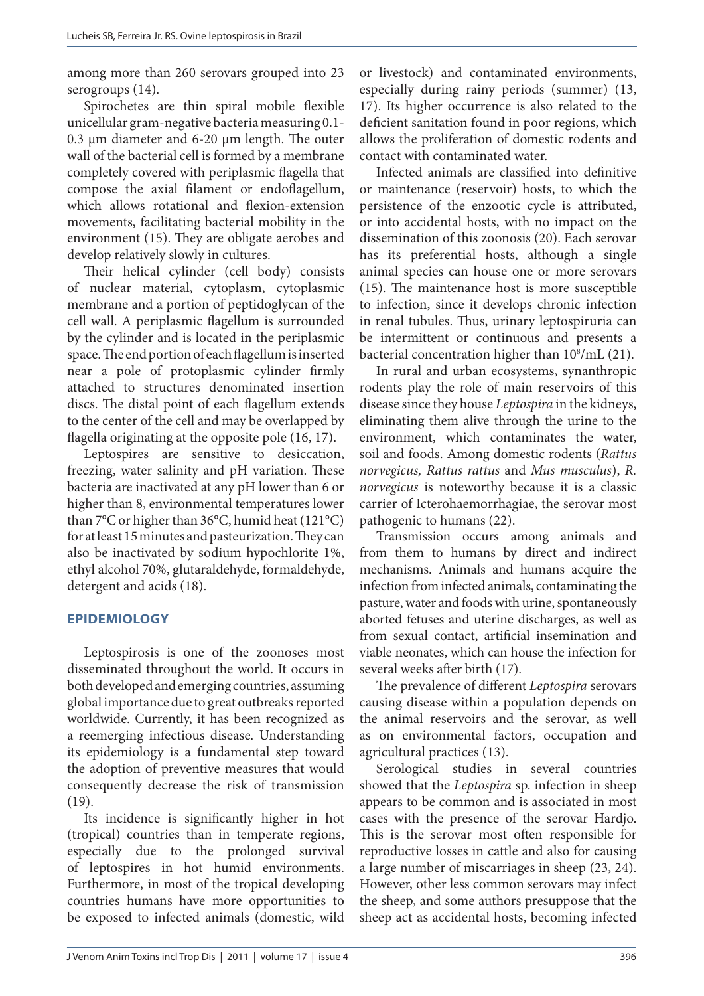among more than 260 serovars grouped into 23 serogroups  $(14)$ .

Spirochetes are thin spiral mobile flexible unicellular gram-negative bacteria measuring 0.1- 0.3 μm diameter and 6-20 μm length. The outer wall of the bacterial cell is formed by a membrane completely covered with periplasmic flagella that compose the axial filament or endoflagellum, which allows rotational and flexion-extension movements, facilitating bacterial mobility in the environment (15). They are obligate aerobes and develop relatively slowly in cultures.

Their helical cylinder (cell body) consists of nuclear material, cytoplasm, cytoplasmic membrane and a portion of peptidoglycan of the cell wall. A periplasmic flagellum is surrounded by the cylinder and is located in the periplasmic space. The end portion of each flagellum is inserted near a pole of protoplasmic cylinder firmly attached to structures denominated insertion discs. The distal point of each flagellum extends to the center of the cell and may be overlapped by flagella originating at the opposite pole (16, 17).

Leptospires are sensitive to desiccation, freezing, water salinity and pH variation. These bacteria are inactivated at any pH lower than 6 or higher than 8, environmental temperatures lower than 7°C or higher than 36°C, humid heat (121°C) for at least 15 minutes and pasteurization. They can also be inactivated by sodium hypochlorite 1%, ethyl alcohol 70%, glutaraldehyde, formaldehyde, detergent and acids (18).

# **EPIDEMIOLOGY**

Leptospirosis is one of the zoonoses most disseminated throughout the world. It occurs in both developed and emerging countries, assuming global importance due to great outbreaks reported worldwide. Currently, it has been recognized as a reemerging infectious disease. Understanding its epidemiology is a fundamental step toward the adoption of preventive measures that would consequently decrease the risk of transmission (19).

Its incidence is significantly higher in hot (tropical) countries than in temperate regions, especially due to the prolonged survival of leptospires in hot humid environments. Furthermore, in most of the tropical developing countries humans have more opportunities to be exposed to infected animals (domestic, wild

or livestock) and contaminated environments, especially during rainy periods (summer) (13, 17). Its higher occurrence is also related to the deficient sanitation found in poor regions, which allows the proliferation of domestic rodents and contact with contaminated water.

Infected animals are classified into definitive or maintenance (reservoir) hosts, to which the persistence of the enzootic cycle is attributed, or into accidental hosts, with no impact on the dissemination of this zoonosis (20). Each serovar has its preferential hosts, although a single animal species can house one or more serovars (15). The maintenance host is more susceptible to infection, since it develops chronic infection in renal tubules. Thus, urinary leptospiruria can be intermittent or continuous and presents a bacterial concentration higher than  $10^8/\mathrm{mL}$  (21).

In rural and urban ecosystems, synanthropic rodents play the role of main reservoirs of this disease since they house *Leptospira* in the kidneys, eliminating them alive through the urine to the environment, which contaminates the water, soil and foods. Among domestic rodents (*Rattus norvegicus, Rattus rattus* and *Mus musculus*), *R. norvegicus* is noteworthy because it is a classic carrier of Icterohaemorrhagiae, the serovar most pathogenic to humans (22).

Transmission occurs among animals and from them to humans by direct and indirect mechanisms. Animals and humans acquire the infection from infected animals, contaminating the pasture, water and foods with urine, spontaneously aborted fetuses and uterine discharges, as well as from sexual contact, artificial insemination and viable neonates, which can house the infection for several weeks after birth (17).

The prevalence of different *Leptospira* serovars causing disease within a population depends on the animal reservoirs and the serovar, as well as on environmental factors, occupation and agricultural practices (13).

Serological studies in several countries showed that the *Leptospira* sp. infection in sheep appears to be common and is associated in most cases with the presence of the serovar Hardjo. This is the serovar most often responsible for reproductive losses in cattle and also for causing a large number of miscarriages in sheep (23, 24). However, other less common serovars may infect the sheep, and some authors presuppose that the sheep act as accidental hosts, becoming infected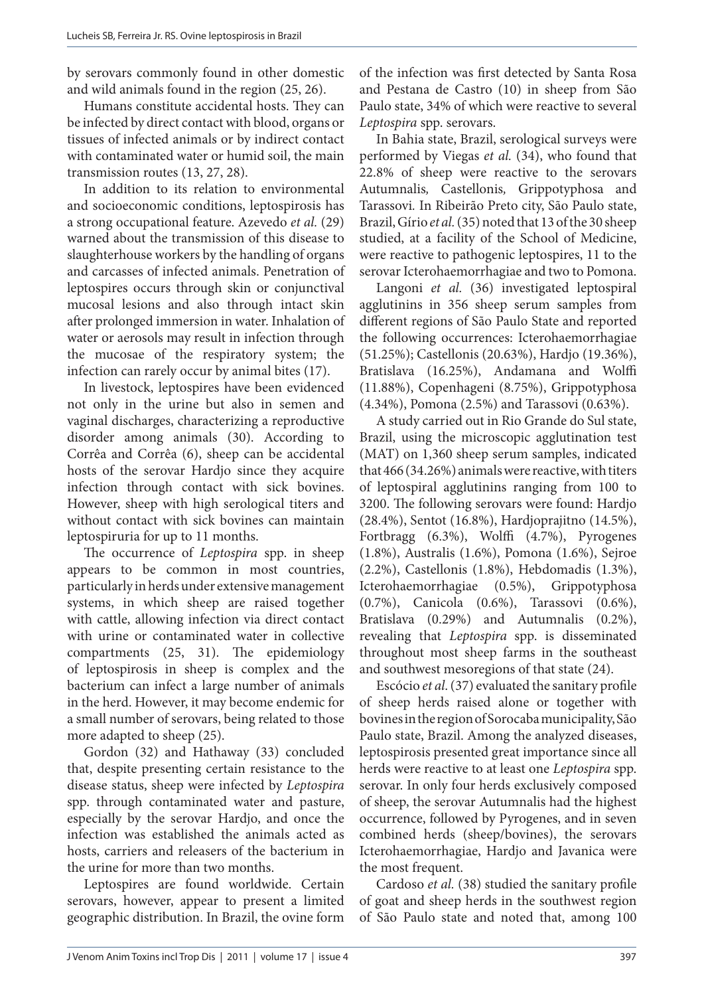by serovars commonly found in other domestic and wild animals found in the region (25, 26).

Humans constitute accidental hosts. They can be infected by direct contact with blood, organs or tissues of infected animals or by indirect contact with contaminated water or humid soil, the main transmission routes (13, 27, 28).

In addition to its relation to environmental and socioeconomic conditions, leptospirosis has a strong occupational feature. Azevedo *et al.* (29) warned about the transmission of this disease to slaughterhouse workers by the handling of organs and carcasses of infected animals. Penetration of leptospires occurs through skin or conjunctival mucosal lesions and also through intact skin after prolonged immersion in water. Inhalation of water or aerosols may result in infection through the mucosae of the respiratory system; the infection can rarely occur by animal bites (17).

In livestock, leptospires have been evidenced not only in the urine but also in semen and vaginal discharges, characterizing a reproductive disorder among animals (30). According to Corrêa and Corrêa (6), sheep can be accidental hosts of the serovar Hardjo since they acquire infection through contact with sick bovines. However, sheep with high serological titers and without contact with sick bovines can maintain leptospiruria for up to 11 months.

The occurrence of *Leptospira* spp. in sheep appears to be common in most countries, particularly in herds under extensive management systems, in which sheep are raised together with cattle, allowing infection via direct contact with urine or contaminated water in collective compartments (25, 31). The epidemiology of leptospirosis in sheep is complex and the bacterium can infect a large number of animals in the herd. However, it may become endemic for a small number of serovars, being related to those more adapted to sheep (25).

Gordon (32) and Hathaway (33) concluded that, despite presenting certain resistance to the disease status, sheep were infected by *Leptospira* spp. through contaminated water and pasture, especially by the serovar Hardjo, and once the infection was established the animals acted as hosts, carriers and releasers of the bacterium in the urine for more than two months.

Leptospires are found worldwide. Certain serovars, however, appear to present a limited geographic distribution. In Brazil, the ovine form

of the infection was first detected by Santa Rosa and Pestana de Castro (10) in sheep from São Paulo state, 34% of which were reactive to several *Leptospira* spp. serovars.

In Bahia state, Brazil, serological surveys were performed by Viegas *et al.* (34), who found that 22.8% of sheep were reactive to the serovars Autumnalis*,* Castellonis*,* Grippotyphosa and Tarassovi*.* In Ribeirão Preto city, São Paulo state, Brazil, Gírio *et al.*(35) noted that 13 of the 30 sheep studied, at a facility of the School of Medicine, were reactive to pathogenic leptospires, 11 to the serovar Icterohaemorrhagiae and two to Pomona.

Langoni *et al.* (36) investigated leptospiral agglutinins in 356 sheep serum samples from different regions of São Paulo State and reported the following occurrences: Icterohaemorrhagiae (51.25%); Castellonis (20.63%), Hardjo (19.36%), Bratislava (16.25%), Andamana and Wolffi (11.88%), Copenhageni (8.75%), Grippotyphosa (4.34%), Pomona (2.5%) and Tarassovi (0.63%).

A study carried out in Rio Grande do Sul state, Brazil, using the microscopic agglutination test (MAT) on 1,360 sheep serum samples, indicated that 466 (34.26%) animals were reactive, with titers of leptospiral agglutinins ranging from 100 to 3200. The following serovars were found: Hardjo (28.4%), Sentot (16.8%), Hardjoprajitno (14.5%), Fortbragg (6.3%), Wolffi (4.7%), Pyrogenes (1.8%), Australis (1.6%), Pomona (1.6%), Sejroe (2.2%), Castellonis (1.8%), Hebdomadis (1.3%), Icterohaemorrhagiae (0.5%), Grippotyphosa (0.7%), Canicola (0.6%), Tarassovi (0.6%), Bratislava (0.29%) and Autumnalis (0.2%), revealing that *Leptospira* spp. is disseminated throughout most sheep farms in the southeast and southwest mesoregions of that state (24).

Escócio *et al*. (37) evaluated the sanitary profile of sheep herds raised alone or together with bovines in the region of Sorocaba municipality, São Paulo state, Brazil. Among the analyzed diseases, leptospirosis presented great importance since all herds were reactive to at least one *Leptospira* spp. serovar. In only four herds exclusively composed of sheep, the serovar Autumnalis had the highest occurrence, followed by Pyrogenes, and in seven combined herds (sheep/bovines), the serovars Icterohaemorrhagiae, Hardjo and Javanica were the most frequent.

Cardoso *et al.* (38) studied the sanitary profile of goat and sheep herds in the southwest region of São Paulo state and noted that, among 100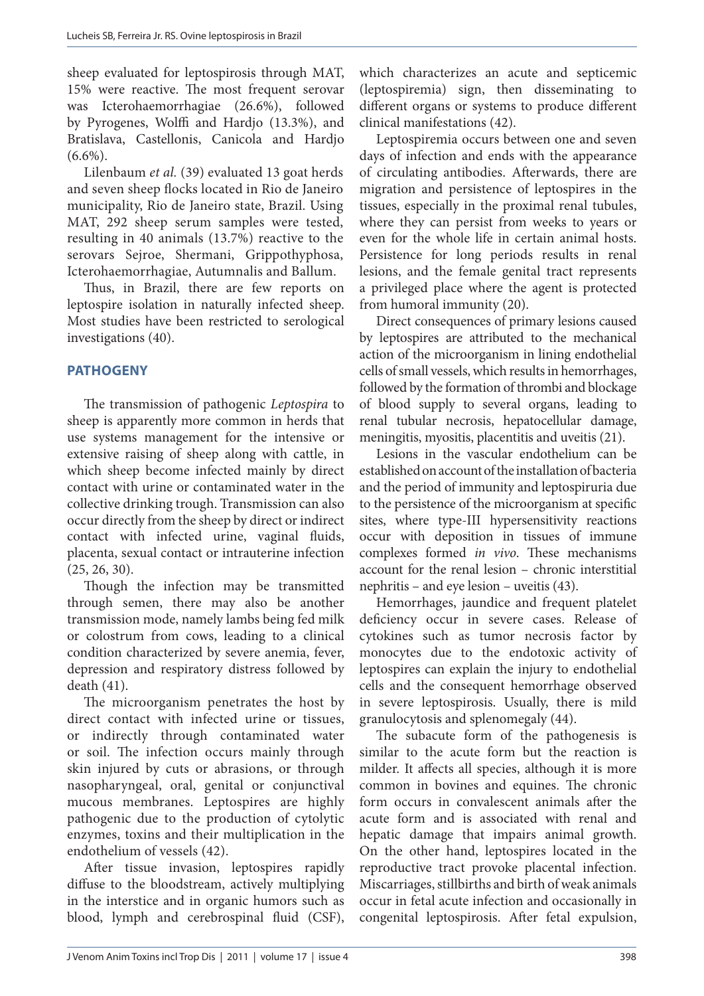sheep evaluated for leptospirosis through MAT, 15% were reactive. The most frequent serovar was Icterohaemorrhagiae (26.6%), followed by Pyrogenes, Wolffi and Hardjo (13.3%), and Bratislava, Castellonis, Canicola and Hardjo  $(6.6\%)$ .

Lilenbaum *et al.* (39) evaluated 13 goat herds and seven sheep flocks located in Rio de Janeiro municipality, Rio de Janeiro state, Brazil. Using MAT, 292 sheep serum samples were tested, resulting in 40 animals (13.7%) reactive to the serovars Sejroe, Shermani, Grippothyphosa, Icterohaemorrhagiae, Autumnalis and Ballum.

Thus, in Brazil, there are few reports on leptospire isolation in naturally infected sheep. Most studies have been restricted to serological investigations (40).

# **PATHOGENY**

The transmission of pathogenic *Leptospira* to sheep is apparently more common in herds that use systems management for the intensive or extensive raising of sheep along with cattle, in which sheep become infected mainly by direct contact with urine or contaminated water in the collective drinking trough. Transmission can also occur directly from the sheep by direct or indirect contact with infected urine, vaginal fluids, placenta, sexual contact or intrauterine infection (25, 26, 30).

Though the infection may be transmitted through semen, there may also be another transmission mode, namely lambs being fed milk or colostrum from cows, leading to a clinical condition characterized by severe anemia, fever, depression and respiratory distress followed by death (41).

The microorganism penetrates the host by direct contact with infected urine or tissues, or indirectly through contaminated water or soil. The infection occurs mainly through skin injured by cuts or abrasions, or through nasopharyngeal, oral, genital or conjunctival mucous membranes. Leptospires are highly pathogenic due to the production of cytolytic enzymes, toxins and their multiplication in the endothelium of vessels (42).

After tissue invasion, leptospires rapidly diffuse to the bloodstream, actively multiplying in the interstice and in organic humors such as blood, lymph and cerebrospinal fluid (CSF),

which characterizes an acute and septicemic (leptospiremia) sign, then disseminating to different organs or systems to produce different clinical manifestations (42).

Leptospiremia occurs between one and seven days of infection and ends with the appearance of circulating antibodies. Afterwards, there are migration and persistence of leptospires in the tissues, especially in the proximal renal tubules, where they can persist from weeks to years or even for the whole life in certain animal hosts. Persistence for long periods results in renal lesions, and the female genital tract represents a privileged place where the agent is protected from humoral immunity (20).

Direct consequences of primary lesions caused by leptospires are attributed to the mechanical action of the microorganism in lining endothelial cells of small vessels, which results in hemorrhages, followed by the formation of thrombi and blockage of blood supply to several organs, leading to renal tubular necrosis, hepatocellular damage, meningitis, myositis, placentitis and uveitis (21).

Lesions in the vascular endothelium can be established on account of the installation of bacteria and the period of immunity and leptospiruria due to the persistence of the microorganism at specific sites, where type-III hypersensitivity reactions occur with deposition in tissues of immune complexes formed *in vivo*. These mechanisms account for the renal lesion – chronic interstitial nephritis – and eye lesion – uveitis (43).

Hemorrhages, jaundice and frequent platelet deficiency occur in severe cases. Release of cytokines such as tumor necrosis factor by monocytes due to the endotoxic activity of leptospires can explain the injury to endothelial cells and the consequent hemorrhage observed in severe leptospirosis. Usually, there is mild granulocytosis and splenomegaly (44).

The subacute form of the pathogenesis is similar to the acute form but the reaction is milder. It affects all species, although it is more common in bovines and equines. The chronic form occurs in convalescent animals after the acute form and is associated with renal and hepatic damage that impairs animal growth. On the other hand, leptospires located in the reproductive tract provoke placental infection. Miscarriages, stillbirths and birth of weak animals occur in fetal acute infection and occasionally in congenital leptospirosis. After fetal expulsion,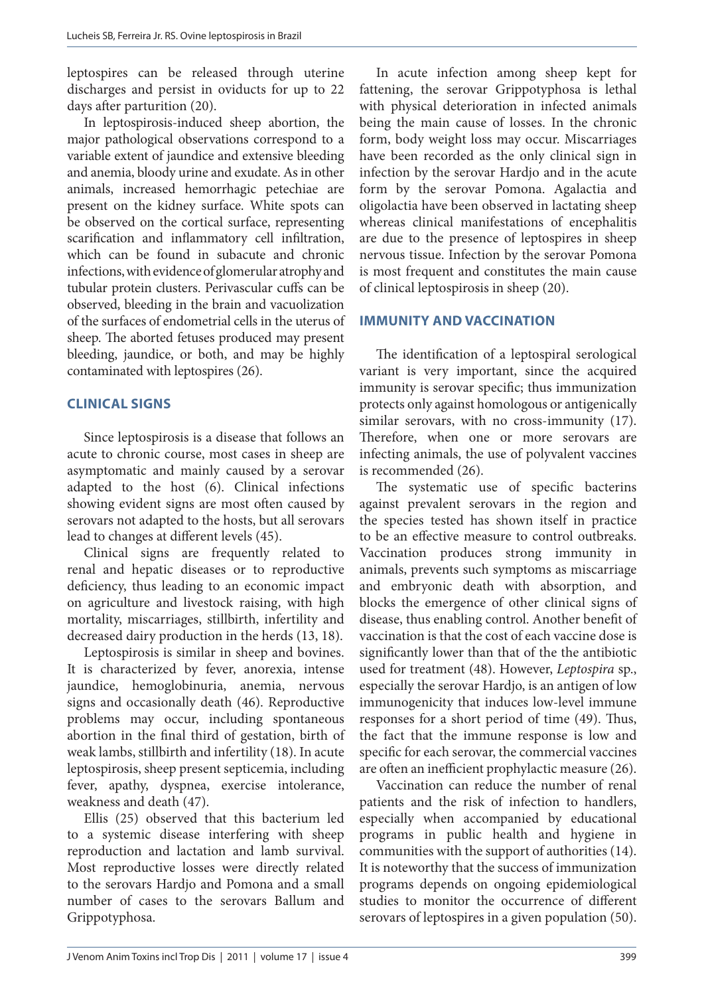leptospires can be released through uterine discharges and persist in oviducts for up to 22 days after parturition (20).

In leptospirosis-induced sheep abortion, the major pathological observations correspond to a variable extent of jaundice and extensive bleeding and anemia, bloody urine and exudate. As in other animals, increased hemorrhagic petechiae are present on the kidney surface. White spots can be observed on the cortical surface, representing scarification and inflammatory cell infiltration, which can be found in subacute and chronic infections, with evidence of glomerular atrophy and tubular protein clusters. Perivascular cuffs can be observed, bleeding in the brain and vacuolization of the surfaces of endometrial cells in the uterus of sheep. The aborted fetuses produced may present bleeding, jaundice, or both, and may be highly contaminated with leptospires (26).

# **CLINICAL SIGNS**

Since leptospirosis is a disease that follows an acute to chronic course, most cases in sheep are asymptomatic and mainly caused by a serovar adapted to the host (6). Clinical infections showing evident signs are most often caused by serovars not adapted to the hosts, but all serovars lead to changes at different levels (45).

Clinical signs are frequently related to renal and hepatic diseases or to reproductive deficiency, thus leading to an economic impact on agriculture and livestock raising, with high mortality, miscarriages, stillbirth, infertility and decreased dairy production in the herds (13, 18).

Leptospirosis is similar in sheep and bovines. It is characterized by fever, anorexia, intense jaundice, hemoglobinuria, anemia, nervous signs and occasionally death (46). Reproductive problems may occur, including spontaneous abortion in the final third of gestation, birth of weak lambs, stillbirth and infertility (18). In acute leptospirosis, sheep present septicemia, including fever, apathy, dyspnea, exercise intolerance, weakness and death (47).

Ellis (25) observed that this bacterium led to a systemic disease interfering with sheep reproduction and lactation and lamb survival. Most reproductive losses were directly related to the serovars Hardjo and Pomona and a small number of cases to the serovars Ballum and Grippotyphosa.

In acute infection among sheep kept for fattening, the serovar Grippotyphosa is lethal with physical deterioration in infected animals being the main cause of losses. In the chronic form, body weight loss may occur. Miscarriages have been recorded as the only clinical sign in infection by the serovar Hardjo and in the acute form by the serovar Pomona. Agalactia and oligolactia have been observed in lactating sheep whereas clinical manifestations of encephalitis are due to the presence of leptospires in sheep nervous tissue. Infection by the serovar Pomona is most frequent and constitutes the main cause of clinical leptospirosis in sheep (20).

# **IMMUNITY AND VACCINATION**

The identification of a leptospiral serological variant is very important, since the acquired immunity is serovar specific; thus immunization protects only against homologous or antigenically similar serovars, with no cross-immunity (17). Therefore, when one or more serovars are infecting animals, the use of polyvalent vaccines is recommended (26).

The systematic use of specific bacterins against prevalent serovars in the region and the species tested has shown itself in practice to be an effective measure to control outbreaks. Vaccination produces strong immunity in animals, prevents such symptoms as miscarriage and embryonic death with absorption, and blocks the emergence of other clinical signs of disease, thus enabling control. Another benefit of vaccination is that the cost of each vaccine dose is significantly lower than that of the the antibiotic used for treatment (48). However, *Leptospira* sp., especially the serovar Hardjo, is an antigen of low immunogenicity that induces low-level immune responses for a short period of time (49). Thus, the fact that the immune response is low and specific for each serovar, the commercial vaccines are often an inefficient prophylactic measure (26).

Vaccination can reduce the number of renal patients and the risk of infection to handlers, especially when accompanied by educational programs in public health and hygiene in communities with the support of authorities (14). It is noteworthy that the success of immunization programs depends on ongoing epidemiological studies to monitor the occurrence of different serovars of leptospires in a given population (50).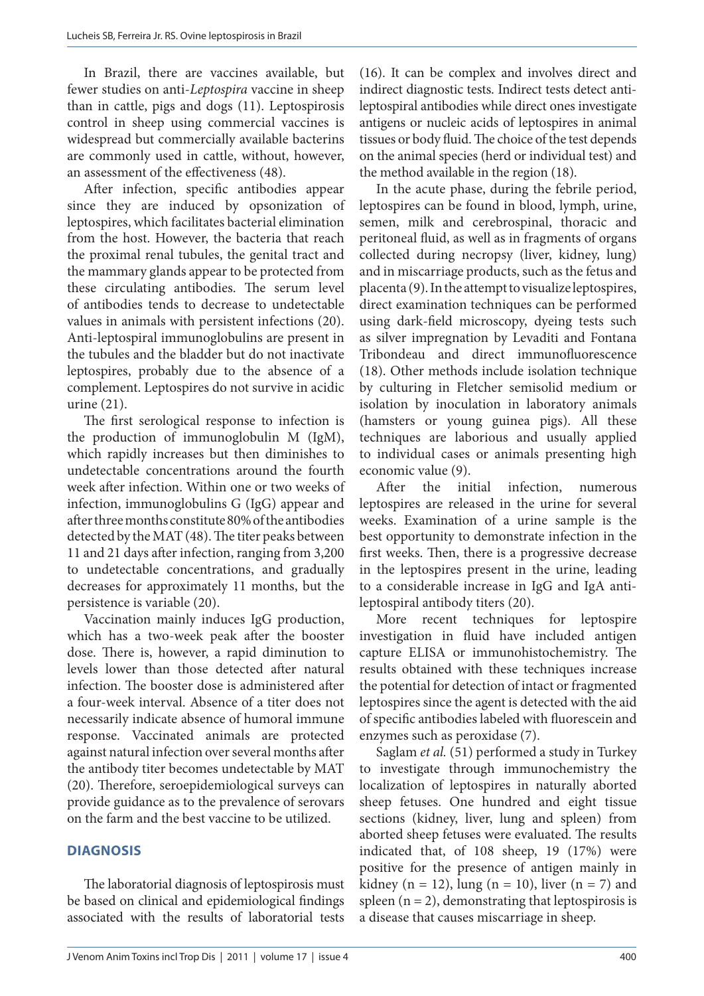In Brazil, there are vaccines available, but fewer studies on anti-*Leptospira* vaccine in sheep than in cattle, pigs and dogs (11). Leptospirosis control in sheep using commercial vaccines is widespread but commercially available bacterins are commonly used in cattle, without, however, an assessment of the effectiveness (48).

After infection, specific antibodies appear since they are induced by opsonization of leptospires, which facilitates bacterial elimination from the host. However, the bacteria that reach the proximal renal tubules, the genital tract and the mammary glands appear to be protected from these circulating antibodies. The serum level of antibodies tends to decrease to undetectable values in animals with persistent infections (20). Anti-leptospiral immunoglobulins are present in the tubules and the bladder but do not inactivate leptospires, probably due to the absence of a complement. Leptospires do not survive in acidic urine (21).

The first serological response to infection is the production of immunoglobulin M (IgM), which rapidly increases but then diminishes to undetectable concentrations around the fourth week after infection. Within one or two weeks of infection, immunoglobulins G (IgG) appear and after three months constitute 80% of the antibodies detected by the MAT (48). The titer peaks between 11 and 21 days after infection, ranging from 3,200 to undetectable concentrations, and gradually decreases for approximately 11 months, but the persistence is variable (20).

Vaccination mainly induces IgG production, which has a two-week peak after the booster dose. There is, however, a rapid diminution to levels lower than those detected after natural infection. The booster dose is administered after a four-week interval. Absence of a titer does not necessarily indicate absence of humoral immune response. Vaccinated animals are protected against natural infection over several months after the antibody titer becomes undetectable by MAT (20). Therefore, seroepidemiological surveys can provide guidance as to the prevalence of serovars on the farm and the best vaccine to be utilized.

# **DIAGNOSIS**

The laboratorial diagnosis of leptospirosis must be based on clinical and epidemiological findings associated with the results of laboratorial tests

(16). It can be complex and involves direct and indirect diagnostic tests. Indirect tests detect antileptospiral antibodies while direct ones investigate antigens or nucleic acids of leptospires in animal tissues or body fluid. The choice of the test depends on the animal species (herd or individual test) and the method available in the region (18).

In the acute phase, during the febrile period, leptospires can be found in blood, lymph, urine, semen, milk and cerebrospinal, thoracic and peritoneal fluid, as well as in fragments of organs collected during necropsy (liver, kidney, lung) and in miscarriage products, such as the fetus and placenta (9). In the attempt to visualize leptospires, direct examination techniques can be performed using dark-field microscopy, dyeing tests such as silver impregnation by Levaditi and Fontana Tribondeau and direct immunofluorescence (18). Other methods include isolation technique by culturing in Fletcher semisolid medium or isolation by inoculation in laboratory animals (hamsters or young guinea pigs). All these techniques are laborious and usually applied to individual cases or animals presenting high economic value (9).

After the initial infection, numerous leptospires are released in the urine for several weeks. Examination of a urine sample is the best opportunity to demonstrate infection in the first weeks. Then, there is a progressive decrease in the leptospires present in the urine, leading to a considerable increase in IgG and IgA antileptospiral antibody titers (20).

More recent techniques for leptospire investigation in fluid have included antigen capture ELISA or immunohistochemistry. The results obtained with these techniques increase the potential for detection of intact or fragmented leptospires since the agent is detected with the aid of specific antibodies labeled with fluorescein and enzymes such as peroxidase (7).

Saglam *et al.* (51) performed a study in Turkey to investigate through immunochemistry the localization of leptospires in naturally aborted sheep fetuses. One hundred and eight tissue sections (kidney, liver, lung and spleen) from aborted sheep fetuses were evaluated. The results indicated that, of 108 sheep, 19 (17%) were positive for the presence of antigen mainly in kidney (n = 12), lung (n = 10), liver (n = 7) and spleen  $(n = 2)$ , demonstrating that leptospirosis is a disease that causes miscarriage in sheep.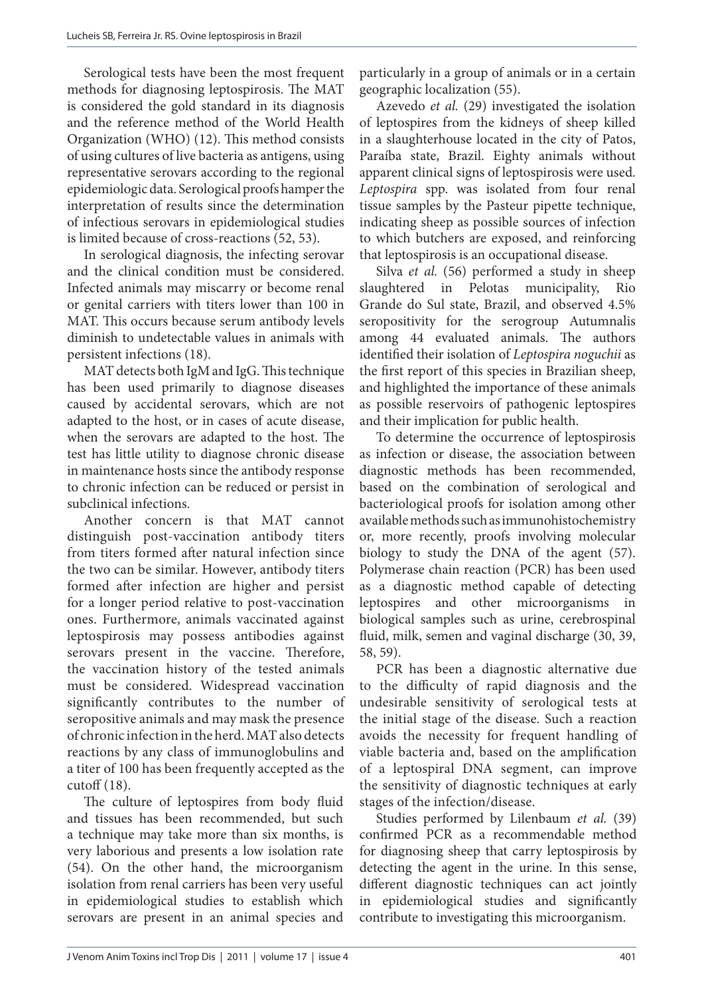Serological tests have been the most frequent methods for diagnosing leptospirosis. The MAT is considered the gold standard in its diagnosis and the reference method of the World Health Organization (WHO) (12). This method consists of using cultures of live bacteria as antigens, using representative serovars according to the regional epidemiologic data. Serological proofs hamper the interpretation of results since the determination of infectious serovars in epidemiological studies is limited because of cross-reactions (52, 53).

In serological diagnosis, the infecting serovar and the clinical condition must be considered. Infected animals may miscarry or become renal or genital carriers with titers lower than 100 in MAT. This occurs because serum antibody levels diminish to undetectable values in animals with persistent infections (18).

MAT detects both IgM and IgG. This technique has been used primarily to diagnose diseases caused by accidental serovars, which are not adapted to the host, or in cases of acute disease, when the serovars are adapted to the host. The test has little utility to diagnose chronic disease in maintenance hosts since the antibody response to chronic infection can be reduced or persist in subclinical infections.

Another concern is that MAT cannot distinguish post-vaccination antibody titers from titers formed after natural infection since the two can be similar. However, antibody titers formed after infection are higher and persist for a longer period relative to post-vaccination ones. Furthermore, animals vaccinated against leptospirosis may possess antibodies against serovars present in the vaccine. Therefore, the vaccination history of the tested animals must be considered. Widespread vaccination significantly contributes to the number of seropositive animals and may mask the presence of chronic infection in the herd. MAT also detects reactions by any class of immunoglobulins and a titer of 100 has been frequently accepted as the cutoff (18).

The culture of leptospires from body fluid and tissues has been recommended, but such a technique may take more than six months, is very laborious and presents a low isolation rate (54). On the other hand, the microorganism isolation from renal carriers has been very useful in epidemiological studies to establish which serovars are present in an animal species and particularly in a group of animals or in a certain geographic localization (55).

Azevedo *et al.* (29) investigated the isolation of leptospires from the kidneys of sheep killed in a slaughterhouse located in the city of Patos, Paraíba state, Brazil. Eighty animals without apparent clinical signs of leptospirosis were used. *Leptospira* spp. was isolated from four renal tissue samples by the Pasteur pipette technique, indicating sheep as possible sources of infection to which butchers are exposed, and reinforcing that leptospirosis is an occupational disease.

Silva *et al.* (56) performed a study in sheep slaughtered in Pelotas municipality, Rio Grande do Sul state, Brazil, and observed 4.5% seropositivity for the serogroup Autumnalis among 44 evaluated animals. The authors identified their isolation of *Leptospira noguchii* as the first report of this species in Brazilian sheep, and highlighted the importance of these animals as possible reservoirs of pathogenic leptospires and their implication for public health.

To determine the occurrence of leptospirosis as infection or disease, the association between diagnostic methods has been recommended, based on the combination of serological and bacteriological proofs for isolation among other available methods such as immunohistochemistry or, more recently, proofs involving molecular biology to study the DNA of the agent (57). Polymerase chain reaction (PCR) has been used as a diagnostic method capable of detecting leptospires and other microorganisms in biological samples such as urine, cerebrospinal fluid, milk, semen and vaginal discharge (30, 39, 58, 59).

PCR has been a diagnostic alternative due to the difficulty of rapid diagnosis and the undesirable sensitivity of serological tests at the initial stage of the disease. Such a reaction avoids the necessity for frequent handling of viable bacteria and, based on the amplification of a leptospiral DNA segment, can improve the sensitivity of diagnostic techniques at early stages of the infection/disease.

Studies performed by Lilenbaum *et al.* (39) confirmed PCR as a recommendable method for diagnosing sheep that carry leptospirosis by detecting the agent in the urine. In this sense, different diagnostic techniques can act jointly in epidemiological studies and significantly contribute to investigating this microorganism.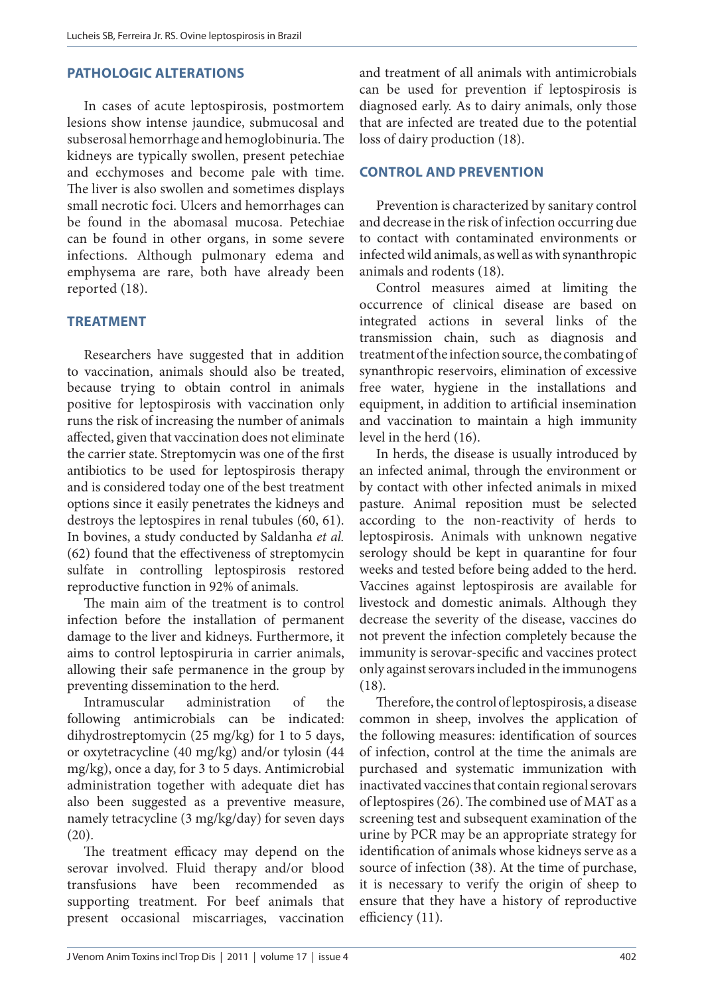### **PATHOLOGIC ALTERATIONS**

In cases of acute leptospirosis, postmortem lesions show intense jaundice, submucosal and subserosal hemorrhage and hemoglobinuria. The kidneys are typically swollen, present petechiae and ecchymoses and become pale with time. The liver is also swollen and sometimes displays small necrotic foci. Ulcers and hemorrhages can be found in the abomasal mucosa. Petechiae can be found in other organs, in some severe infections. Although pulmonary edema and emphysema are rare, both have already been reported (18).

# **TREATMENT**

Researchers have suggested that in addition to vaccination, animals should also be treated, because trying to obtain control in animals positive for leptospirosis with vaccination only runs the risk of increasing the number of animals affected, given that vaccination does not eliminate the carrier state. Streptomycin was one of the first antibiotics to be used for leptospirosis therapy and is considered today one of the best treatment options since it easily penetrates the kidneys and destroys the leptospires in renal tubules (60, 61). In bovines, a study conducted by Saldanha *et al.* (62) found that the effectiveness of streptomycin sulfate in controlling leptospirosis restored reproductive function in 92% of animals.

The main aim of the treatment is to control infection before the installation of permanent damage to the liver and kidneys. Furthermore, it aims to control leptospiruria in carrier animals, allowing their safe permanence in the group by preventing dissemination to the herd.

Intramuscular administration of the following antimicrobials can be indicated: dihydrostreptomycin (25 mg/kg) for 1 to 5 days, or oxytetracycline (40 mg/kg) and/or tylosin (44 mg/kg), once a day, for 3 to 5 days. Antimicrobial administration together with adequate diet has also been suggested as a preventive measure, namely tetracycline (3 mg/kg/day) for seven days (20).

The treatment efficacy may depend on the serovar involved. Fluid therapy and/or blood transfusions have been recommended as supporting treatment. For beef animals that present occasional miscarriages, vaccination

and treatment of all animals with antimicrobials can be used for prevention if leptospirosis is diagnosed early. As to dairy animals, only those that are infected are treated due to the potential loss of dairy production (18).

### **CONTROL AND PREVENTION**

Prevention is characterized by sanitary control and decrease in the risk of infection occurring due to contact with contaminated environments or infected wild animals, as well as with synanthropic animals and rodents (18).

Control measures aimed at limiting the occurrence of clinical disease are based on integrated actions in several links of the transmission chain, such as diagnosis and treatment of the infection source, the combating of synanthropic reservoirs, elimination of excessive free water, hygiene in the installations and equipment, in addition to artificial insemination and vaccination to maintain a high immunity level in the herd (16).

In herds, the disease is usually introduced by an infected animal, through the environment or by contact with other infected animals in mixed pasture. Animal reposition must be selected according to the non-reactivity of herds to leptospirosis. Animals with unknown negative serology should be kept in quarantine for four weeks and tested before being added to the herd. Vaccines against leptospirosis are available for livestock and domestic animals. Although they decrease the severity of the disease, vaccines do not prevent the infection completely because the immunity is serovar-specific and vaccines protect only against serovars included in the immunogens (18).

Therefore, the control of leptospirosis, a disease common in sheep, involves the application of the following measures: identification of sources of infection, control at the time the animals are purchased and systematic immunization with inactivated vaccines that contain regional serovars of leptospires (26). The combined use of MAT as a screening test and subsequent examination of the urine by PCR may be an appropriate strategy for identification of animals whose kidneys serve as a source of infection (38). At the time of purchase, it is necessary to verify the origin of sheep to ensure that they have a history of reproductive efficiency (11).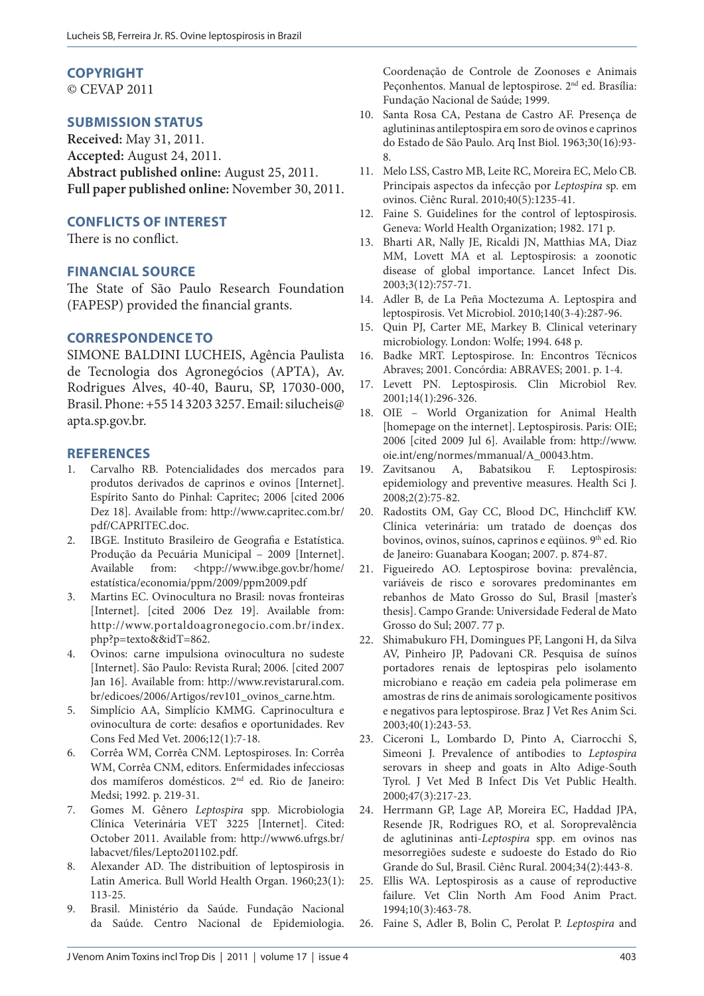#### **COPYRIGHT**

© CEVAP 2011

# **SUBMISSION STATUS**

**Received:** May 31, 2011. **Accepted:** August 24, 2011. **Abstract published online:** August 25, 2011. **Full paper published online:** November 30, 2011.

#### **CONFLICTS OF INTEREST**

There is no conflict.

### **FINANCIAL SOURCE**

The State of São Paulo Research Foundation (FAPESP) provided the financial grants.

### **CORRESPONDENCE TO**

SIMONE BALDINI LUCHEIS, Agência Paulista de Tecnologia dos Agronegócios (APTA), Av. Rodrigues Alves, 40-40, Bauru, SP, 17030-000, Brasil. Phone: +55 14 3203 3257. Email: silucheis@ apta.sp.gov.br.

#### **REFERENCES**

- 1. Carvalho RB. Potencialidades dos mercados para produtos derivados de caprinos e ovinos [Internet]. Espírito Santo do Pinhal: Capritec; 2006 [cited 2006 Dez 18]. Available from: http://www.capritec.com.br/ pdf/CAPRITEC.doc.
- 2. IBGE. Instituto Brasileiro de Geografia e Estatística. Produção da Pecuária Municipal – 2009 [Internet]. Available from: <htpp://www.ibge.gov.br/home/ estatística/economia/ppm/2009/ppm2009.pdf
- 3. Martins EC. Ovinocultura no Brasil: novas fronteiras [Internet]. [cited 2006 Dez 19]. Available from: http://www.portaldoagronegocio.com.br/index. php?p=texto&&idT=862.
- 4. Ovinos: carne impulsiona ovinocultura no sudeste [Internet]. São Paulo: Revista Rural; 2006. [cited 2007 Jan 16]. Available from: http://www.revistarural.com. br/edicoes/2006/Artigos/rev101\_ovinos\_carne.htm.
- 5. Simplício AA, Simplício KMMG. Caprinocultura e ovinocultura de corte: desafios e oportunidades. Rev Cons Fed Med Vet. 2006;12(1):7-18.
- 6. Corrêa WM, Corrêa CNM. Leptospiroses. In: Corrêa WM, Corrêa CNM, editors. Enfermidades infecciosas dos mamíferos domésticos. 2nd ed. Rio de Janeiro: Medsi; 1992. p. 219-31.
- 7. Gomes M. Gênero *Leptospira* spp. Microbiologia Clínica Veterinária VET 3225 [Internet]. Cited: October 2011. Available from: http://www6.ufrgs.br/ labacvet/files/Lepto201102.pdf.
- 8. Alexander AD. The distribuition of leptospirosis in Latin America. Bull World Health Organ. 1960;23(1): 113-25.
- 9. Brasil. Ministério da Saúde. Fundação Nacional da Saúde. Centro Nacional de Epidemiologia.

Coordenação de Controle de Zoonoses e Animais Peçonhentos. Manual de leptospirose. 2nd ed. Brasília: Fundação Nacional de Saúde; 1999.

- 10. Santa Rosa CA, Pestana de Castro AF. Presença de aglutininas antileptospira em soro de ovinos e caprinos do Estado de São Paulo. Arq Inst Biol. 1963;30(16):93- 8.
- 11. Melo LSS, Castro MB, Leite RC, Moreira EC, Melo CB. Principais aspectos da infecção por *Leptospira* sp. em ovinos. Ciênc Rural. 2010;40(5):1235-41.
- 12. Faine S. Guidelines for the control of leptospirosis. Geneva: World Health Organization; 1982. 171 p.
- 13. Bharti AR, Nally JE, Ricaldi JN, Matthias MA, Diaz MM, Lovett MA et al. Leptospirosis: a zoonotic disease of global importance. Lancet Infect Dis. 2003;3(12):757-71.
- 14. Adler B, de La Peña Moctezuma A. Leptospira and leptospirosis. Vet Microbiol. 2010;140(3-4):287-96.
- 15. Quin PJ, Carter ME, Markey B. Clinical veterinary microbiology. London: Wolfe; 1994. 648 p.
- 16. Badke MRT. Leptospirose. In: Encontros Técnicos Abraves; 2001. Concórdia: ABRAVES; 2001. p. 1-4.
- 17. Levett PN. Leptospirosis. Clin Microbiol Rev. 2001;14(1):296-326.
- 18. OIE World Organization for Animal Health [homepage on the internet]. Leptospirosis. Paris: OIE; 2006 [cited 2009 Jul 6]. Available from: http://www. oie.int/eng/normes/mmanual/A\_00043.htm.
- 19. Zavitsanou A, Babatsikou F. Leptospirosis: epidemiology and preventive measures. Health Sci J. 2008;2(2):75-82.
- 20. Radostits OM, Gay CC, Blood DC, Hinchcliff KW. Clínica veterinária: um tratado de doenças dos bovinos, ovinos, suínos, caprinos e eqüinos. 9<sup>th</sup> ed. Rio de Janeiro: Guanabara Koogan; 2007. p. 874-87.
- 21. Figueiredo AO. Leptospirose bovina: prevalência, variáveis de risco e sorovares predominantes em rebanhos de Mato Grosso do Sul, Brasil [master's thesis]. Campo Grande: Universidade Federal de Mato Grosso do Sul; 2007. 77 p.
- 22. Shimabukuro FH, Domingues PF, Langoni H, da Silva AV, Pinheiro JP, Padovani CR. Pesquisa de suínos portadores renais de leptospiras pelo isolamento microbiano e reação em cadeia pela polimerase em amostras de rins de animais sorologicamente positivos e negativos para leptospirose. Braz J Vet Res Anim Sci. 2003;40(1):243-53.
- 23. Ciceroni L, Lombardo D, Pinto A, Ciarrocchi S, Simeoni J. Prevalence of antibodies to *Leptospira* serovars in sheep and goats in Alto Adige-South Tyrol. J Vet Med B Infect Dis Vet Public Health. 2000;47(3):217-23.
- 24. Herrmann GP, Lage AP, Moreira EC, Haddad JPA, Resende JR, Rodrigues RO, et al. Soroprevalência de aglutininas anti-*Leptospira* spp. em ovinos nas mesorregiões sudeste e sudoeste do Estado do Rio Grande do Sul, Brasil. Ciênc Rural. 2004;34(2):443-8.
- 25. Ellis WA. Leptospirosis as a cause of reproductive failure. Vet Clin North Am Food Anim Pract. 1994;10(3):463-78.
- 26. Faine S, Adler B, Bolin C, Perolat P. *Leptospira* and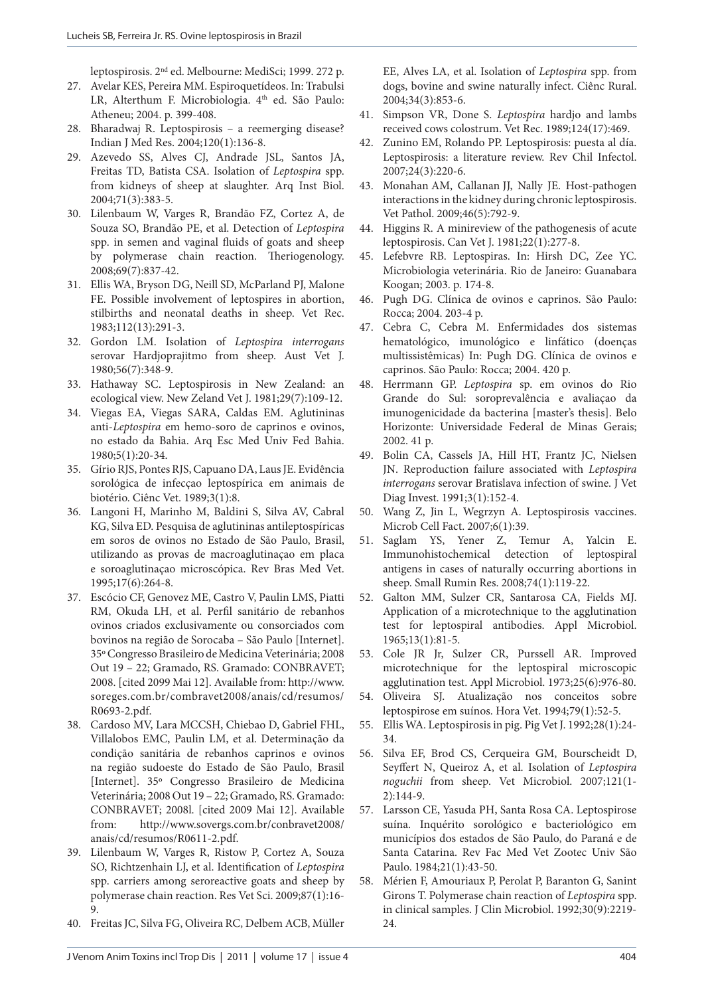leptospirosis. 2nd ed. Melbourne: MediSci; 1999. 272 p.

- 27. Avelar KES, Pereira MM. Espiroquetídeos. In: Trabulsi LR, Alterthum F. Microbiologia. 4<sup>th</sup> ed. São Paulo: Atheneu; 2004. p. 399-408.
- 28. Bharadwaj R. Leptospirosis a reemerging disease? Indian J Med Res. 2004;120(1):136-8.
- 29. Azevedo SS, Alves CJ, Andrade JSL, Santos JA, Freitas TD, Batista CSA. Isolation of *Leptospira* spp. from kidneys of sheep at slaughter. Arq Inst Biol. 2004;71(3):383-5.
- 30. Lilenbaum W, Varges R, Brandão FZ, Cortez A, de Souza SO, Brandão PE, et al. Detection of *Leptospira* spp. in semen and vaginal fluids of goats and sheep by polymerase chain reaction. Theriogenology. 2008;69(7):837-42.
- 31. Ellis WA, Bryson DG, Neill SD, McParland PJ, Malone FE. Possible involvement of leptospires in abortion, stilbirths and neonatal deaths in sheep. Vet Rec. 1983;112(13):291-3.
- 32. Gordon LM. Isolation of *Leptospira interrogans* serovar Hardjoprajitmo from sheep. Aust Vet J. 1980;56(7):348-9.
- 33. Hathaway SC. Leptospirosis in New Zealand: an ecological view. New Zeland Vet J. 1981;29(7):109-12.
- 34. Viegas EA, Viegas SARA, Caldas EM. Aglutininas anti-*Leptospira* em hemo-soro de caprinos e ovinos, no estado da Bahia. Arq Esc Med Univ Fed Bahia. 1980;5(1):20-34.
- 35. Gírio RJS, Pontes RJS, Capuano DA, Laus JE. Evidência sorológica de infecçao leptospírica em animais de biotério. Ciênc Vet. 1989;3(1):8.
- 36. Langoni H, Marinho M, Baldini S, Silva AV, Cabral KG, Silva ED. Pesquisa de aglutininas antileptospíricas em soros de ovinos no Estado de São Paulo, Brasil, utilizando as provas de macroaglutinaçao em placa e soroaglutinaçao microscópica. Rev Bras Med Vet. 1995;17(6):264-8.
- 37. Escócio CF, Genovez ME, Castro V, Paulin LMS, Piatti RM, Okuda LH, et al. Perfil sanitário de rebanhos ovinos criados exclusivamente ou consorciados com bovinos na região de Sorocaba – São Paulo [Internet]. 35º Congresso Brasileiro de Medicina Veterinária; 2008 Out 19 – 22; Gramado, RS. Gramado: CONBRAVET; 2008. [cited 2099 Mai 12]. Available from: http://www. soreges.com.br/combravet2008/anais/cd/resumos/ R0693-2.pdf.
- 38. Cardoso MV, Lara MCCSH, Chiebao D, Gabriel FHL, Villalobos EMC, Paulin LM, et al. Determinação da condição sanitária de rebanhos caprinos e ovinos na região sudoeste do Estado de São Paulo, Brasil [Internet]. 35º Congresso Brasileiro de Medicina Veterinária; 2008 Out 19 – 22; Gramado, RS. Gramado: CONBRAVET; 2008l. [cited 2009 Mai 12]. Available from: http://www.sovergs.com.br/conbravet2008/ anais/cd/resumos/R0611-2.pdf.
- 39. Lilenbaum W, Varges R, Ristow P, Cortez A, Souza SO, Richtzenhain LJ, et al. Identification of *Leptospira* spp. carriers among seroreactive goats and sheep by polymerase chain reaction. Res Vet Sci. 2009;87(1):16- 9.
- 40. Freitas JC, Silva FG, Oliveira RC, Delbem ACB, Müller

EE, Alves LA, et al. Isolation of *Leptospira* spp. from dogs, bovine and swine naturally infect. Ciênc Rural. 2004;34(3):853-6.

- 41. Simpson VR, Done S. *Leptospira* hardjo and lambs received cows colostrum. Vet Rec. 1989;124(17):469.
- 42. Zunino EM, Rolando PP. Leptospirosis: puesta al día. Leptospirosis: a literature review. Rev Chil Infectol. 2007;24(3):220-6.
- 43. Monahan AM, Callanan JJ, Nally JE. Host-pathogen interactions in the kidney during chronic leptospirosis. Vet Pathol. 2009;46(5):792-9.
- 44. Higgins R. A minireview of the pathogenesis of acute leptospirosis. Can Vet J. 1981;22(1):277-8.
- 45. Lefebvre RB. Leptospiras. In: Hirsh DC, Zee YC. Microbiologia veterinária. Rio de Janeiro: Guanabara Koogan; 2003. p. 174-8.
- 46. Pugh DG. Clínica de ovinos e caprinos. São Paulo: Rocca; 2004. 203-4 p.
- 47. Cebra C, Cebra M. Enfermidades dos sistemas hematológico, imunológico e linfático (doenças multissistêmicas) In: Pugh DG. Clínica de ovinos e caprinos. São Paulo: Rocca; 2004. 420 p.
- 48. Herrmann GP. *Leptospira* sp. em ovinos do Rio Grande do Sul: soroprevalência e avaliaçao da imunogenicidade da bacterina [master's thesis]. Belo Horizonte: Universidade Federal de Minas Gerais; 2002. 41 p.
- 49. Bolin CA, Cassels JA, Hill HT, Frantz JC, Nielsen JN. Reproduction failure associated with *Leptospira interrogans* serovar Bratislava infection of swine. J Vet Diag Invest. 1991;3(1):152-4.
- 50. Wang Z, Jin L, Wegrzyn A. Leptospirosis vaccines. Microb Cell Fact. 2007;6(1):39.
- 51. Saglam YS, Yener Z, Temur A, Yalcin E. Immunohistochemical detection of leptospiral antigens in cases of naturally occurring abortions in sheep. Small Rumin Res. 2008;74(1):119-22.
- 52. Galton MM, Sulzer CR, Santarosa CA, Fields MJ. Application of a microtechnique to the agglutination test for leptospiral antibodies. Appl Microbiol. 1965;13(1):81-5.
- 53. Cole JR Jr, Sulzer CR, Purssell AR. Improved microtechnique for the leptospiral microscopic agglutination test. Appl Microbiol. 1973;25(6):976-80.
- 54. Oliveira SJ. Atualização nos conceitos sobre leptospirose em suínos. Hora Vet. 1994;79(1):52-5.
- 55. Ellis WA. Leptospirosis in pig. Pig Vet J. 1992;28(1):24- 34.
- 56. Silva EF, Brod CS, Cerqueira GM, Bourscheidt D, Seyffert N, Queiroz A, et al. Isolation of *Leptospira noguchii* from sheep. Vet Microbiol. 2007;121(1- 2):144-9.
- 57. Larsson CE, Yasuda PH, Santa Rosa CA. Leptospirose suína. Inquérito sorológico e bacteriológico em municípios dos estados de São Paulo, do Paraná e de Santa Catarina. Rev Fac Med Vet Zootec Univ São Paulo. 1984;21(1):43-50.
- 58. Mérien F, Amouriaux P, Perolat P, Baranton G, Sanint Girons T. Polymerase chain reaction of *Leptospira* spp. in clinical samples. J Clin Microbiol. 1992;30(9):2219- 24.